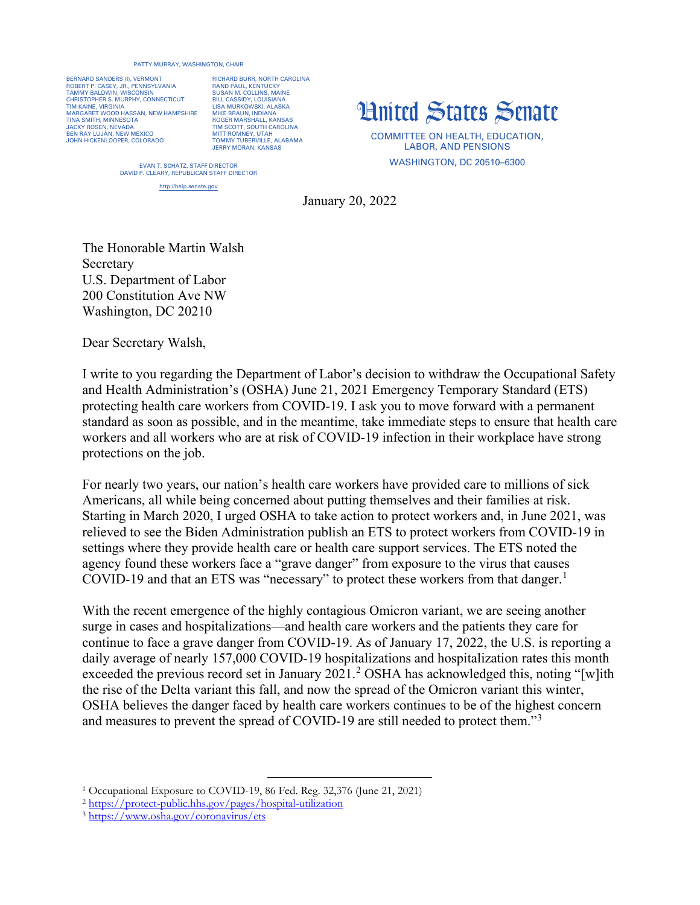## PATTY MURRAY, WASHINGTON, CHAIR

BERNARD SANDERS (I), VERMONT ROBERT P. CASEY, JR., PENNSYLVANIA TAMMY BALDWIN, WISCONSIN CHRISTOPHER S. MURPHY, CONNECTICUT TIM KAINE, VIRGINIA MARGARET WOOD HASSAN, NEW HAMPSHIRE TINA SMITH, MINNESOTA JACKY ROSEN, NEVADA BEN RAY LUJÁN, NEW MEXICO JOHN HICKENLOOPER, COLORADO

RICHARD BURR, NORTH CAROLINA **RAND PAUL, KENTUCKY** SUSAN M. COLLINS, MAINE BILL CASSIDY, LOUISIANA LISA MURKOWSKI, ALASKA MIKE BRAUN, INDIANA ROGER MARSHALL, KANSAS TIM SCOTT, SOUTH CAROLINA MITT ROMNEY, UTAH TOMMY TUBERVILLE, ALABAMA JERRY MORAN, KANSAS

## United States Senate

COMMITTEE ON HEALTH, EDUCATION, LABOR, AND PENSIONS WASHINGTON, DC 20510–6300

EVAN T. SCHATZ, STAFF DIRECTOR DAVID P. CLEARY, REPUBLICAN STAFF DIRECTOR

http://help.senate.gov

January 20, 2022

The Honorable Martin Walsh Secretary U.S. Department of Labor 200 Constitution Ave NW Washington, DC 20210

Dear Secretary Walsh,

I write to you regarding the Department of Labor's decision to withdraw the Occupational Safety and Health Administration's (OSHA) June 21, 2021 Emergency Temporary Standard (ETS) protecting health care workers from COVID-19. I ask you to move forward with a permanent standard as soon as possible, and in the meantime, take immediate steps to ensure that health care workers and all workers who are at risk of COVID-19 infection in their workplace have strong protections on the job.

For nearly two years, our nation's health care workers have provided care to millions of sick Americans, all while being concerned about putting themselves and their families at risk. Starting in March 2020, I urged OSHA to take action to protect workers and, in June 2021, was relieved to see the Biden Administration publish an ETS to protect workers from COVID-19 in settings where they provide health care or health care support services. The ETS noted the agency found these workers face a "grave danger" from exposure to the virus that causes COVID-[1](#page-0-0)9 and that an ETS was "necessary" to protect these workers from that danger.<sup>1</sup>

With the recent emergence of the highly contagious Omicron variant, we are seeing another surge in cases and hospitalizations—and health care workers and the patients they care for continue to face a grave danger from COVID-19. As of January 17, 2022, the U.S. is reporting a daily average of nearly 157,000 COVID-19 hospitalizations and hospitalization rates this month exceeded the previous record set in January [2](#page-0-1)021.<sup>2</sup> OSHA has acknowledged this, noting "[w]ith the rise of the Delta variant this fall, and now the spread of the Omicron variant this winter, OSHA believes the danger faced by health care workers continues to be of the highest concern and measures to prevent the spread of COVID-19 are still needed to protect them."<sup>[3](#page-0-2)</sup>

<span id="page-0-0"></span><sup>1</sup> Occupational Exposure to COVID-19, 86 Fed. Reg. 32,376 (June 21, 2021)

<span id="page-0-1"></span><sup>2</sup> <https://protect-public.hhs.gov/pages/hospital-utilization>3 <https://www.osha.gov/coronavirus/ets>

<span id="page-0-2"></span>